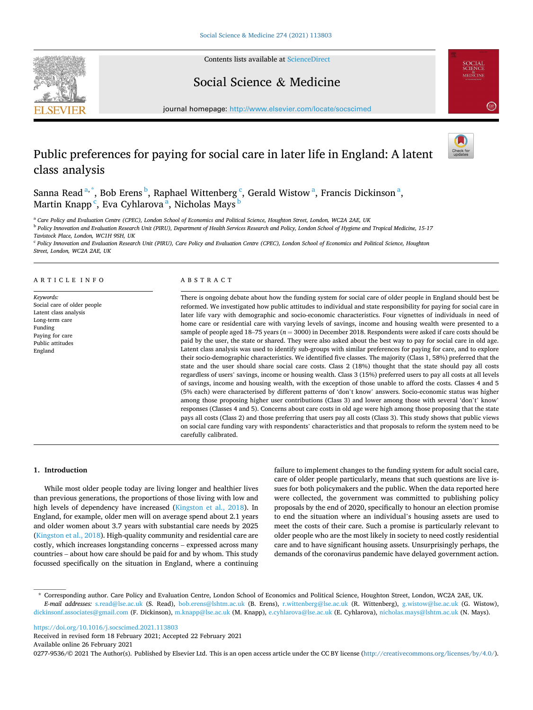Contents lists available at [ScienceDirect](www.sciencedirect.com/science/journal/02779536)





## Social Science & Medicine

journal homepage: [http://www.elsevier.com/locate/socscimed](https://http://www.elsevier.com/locate/socscimed)

# Public preferences for paying for social care in later life in England: A latent class analysis



Sanna Read<sup>a,\*</sup>, Bob Erens <sup>b</sup>, Raphael Wittenberg <sup>c</sup>, Gerald Wistow <sup>a</sup>, Francis Dickinson <sup>a</sup>, Martin Knapp  $\lq$ , Eva Cyhlarova  $\rm ^a$ , Nicholas Mays  $\rm ^b$ 

<sup>a</sup> *Care Policy and Evaluation Centre (CPEC), London School of Economics and Political Science, Houghton Street, London, WC2A 2AE, UK* 

<sup>b</sup> *Policy Innovation and Evaluation Research Unit (PIRU), Department of Health Services Research and Policy, London School of Hygiene and Tropical Medicine, 15-17* 

*Tavistock Place, London, WC1H 9SH, UK* 

<sup>c</sup> Policy Innovation and Evaluation Research Unit (PIRU), Care Policy and Evaluation Centre (CPEC), London School of Economics and Political Science, Houghton *Street, London, WC2A 2AE, UK* 

#### ARTICLE INFO

*Keywords:*  Social care of older people Latent class analysis Long-term care Funding Paying for care Public attitudes England

#### ABSTRACT

There is ongoing debate about how the funding system for social care of older people in England should best be reformed. We investigated how public attitudes to individual and state responsibility for paying for social care in later life vary with demographic and socio-economic characteristics. Four vignettes of individuals in need of home care or residential care with varying levels of savings, income and housing wealth were presented to a sample of people aged 18–75 years ( $n = 3000$ ) in December 2018. Respondents were asked if care costs should be paid by the user, the state or shared. They were also asked about the best way to pay for social care in old age. Latent class analysis was used to identify sub-groups with similar preferences for paying for care, and to explore their socio-demographic characteristics. We identified five classes. The majority (Class 1, 58%) preferred that the state and the user should share social care costs. Class 2 (18%) thought that the state should pay all costs regardless of users' savings, income or housing wealth. Class 3 (15%) preferred users to pay all costs at all levels of savings, income and housing wealth, with the exception of those unable to afford the costs. Classes 4 and 5 (5% each) were characterised by different patterns of 'don't know' answers. Socio-economic status was higher among those proposing higher user contributions (Class 3) and lower among those with several 'don't' know' responses (Classes 4 and 5). Concerns about care costs in old age were high among those proposing that the state pays all costs (Class 2) and those preferring that users pay all costs (Class 3). This study shows that public views on social care funding vary with respondents' characteristics and that proposals to reform the system need to be carefully calibrated.

#### **1. Introduction**

While most older people today are living longer and healthier lives than previous generations, the proportions of those living with low and high levels of dependency have increased [\(Kingston et al., 2018\)](#page-7-0). In England, for example, older men will on average spend about 2.1 years and older women about 3.7 years with substantial care needs by 2025 ([Kingston et al., 2018](#page-7-0)). High-quality community and residential care are costly, which increases longstanding concerns – expressed across many countries – about how care should be paid for and by whom. This study focussed specifically on the situation in England, where a continuing

failure to implement changes to the funding system for adult social care, care of older people particularly, means that such questions are live issues for both policymakers and the public. When the data reported here were collected, the government was committed to publishing policy proposals by the end of 2020, specifically to honour an election promise to end the situation where an individual's housing assets are used to meet the costs of their care. Such a promise is particularly relevant to older people who are the most likely in society to need costly residential care and to have significant housing assets. Unsurprisingly perhaps, the demands of the coronavirus pandemic have delayed government action.

<https://doi.org/10.1016/j.socscimed.2021.113803>

Available online 26 February 2021 Received in revised form 18 February 2021; Accepted 22 February 2021

0277-9536/© 2021 The Author(s). Published by Elsevier Ltd. This is an open access article under the CC BY license [\(http://creativecommons.org/licenses/by/4.0/\)](http://creativecommons.org/licenses/by/4.0/).

<sup>\*</sup> Corresponding author. Care Policy and Evaluation Centre, London School of Economics and Political Science, Houghton Street, London, WC2A 2AE, UK. *E-mail addresses:* [s.read@lse.ac.uk](mailto:s.read@lse.ac.uk) (S. Read), [bob.erens@lshtm.ac.uk](mailto:bob.erens@lshtm.ac.uk) (B. Erens), [r.wittenberg@lse.ac.uk](mailto:r.wittenberg@lse.ac.uk) (R. Wittenberg), [g.wistow@lse.ac.uk](mailto:g.wistow@lse.ac.uk) (G. Wistow), [dickinsonf.associates@gmail.com](mailto:dickinsonf.associates@gmail.com) (F. Dickinson), [m.knapp@lse.ac.uk](mailto:m.knapp@lse.ac.uk) (M. Knapp), [e.cyhlarova@lse.ac.uk](mailto:e.cyhlarova@lse.ac.uk) (E. Cyhlarova), [nicholas.mays@lshtm.ac.uk](mailto:nicholas.mays@lshtm.ac.uk) (N. Mays).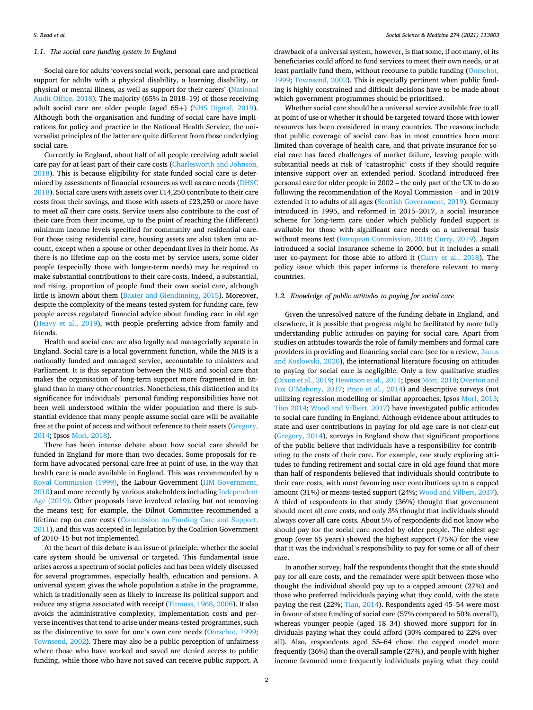## *1.1. The social care funding system in England*

Social care for adults 'covers social work, personal care and practical support for adults with a physical disability, a learning disability, or physical or mental illness, as well as support for their carers' [\(National](#page-7-0)  [Audit Office, 2018](#page-7-0)). The majority (65% in 2018–19) of those receiving adult social care are older people (aged 65+) ([NHS Digital, 2019](#page-7-0)). Although both the organisation and funding of social care have implications for policy and practice in the National Health Service, the universalist principles of the latter are quite different from those underlying social care.

Currently in England, about half of all people receiving adult social care pay for at least part of their care costs ([Charlesworth and Johnson,](#page-7-0)  [2018\)](#page-7-0). This is because eligibility for state-funded social care is determined by assessments of financial resources as well as care needs [\(DHSC](#page-7-0)  [2018\)](#page-7-0). Social care users with assets over £14,250 contribute to their care costs from their savings, and those with assets of £23,250 or more have to meet *all* their care costs. Service users also contribute to the cost of their care from their income, up to the point of reaching the (different) minimum income levels specified for community and residential care. For those using residential care, housing assets are also taken into account, except when a spouse or other dependant lives in their home. As there is no lifetime cap on the costs met by service users, some older people (especially those with longer-term needs) may be required to make substantial contributions to their care costs. Indeed, a substantial, and rising, proportion of people fund their own social care, although little is known about them ([Baxter and Glendinning, 2015\)](#page-7-0). Moreover, despite the complexity of the means-tested system for funding care, few people access regulated financial advice about funding care in old age ([Heavy et al., 2019\)](#page-7-0), with people preferring advice from family and friends.

Health and social care are also legally and managerially separate in England. Social care is a local government function, while the NHS is a nationally funded and managed service, accountable to ministers and Parliament. It is this separation between the NHS and social care that makes the organisation of long-term support more fragmented in England than in many other countries. Nonetheless, this distinction and its significance for individuals' personal funding responsibilities have not been well understood within the wider population and there is substantial evidence that many people assume social care will be available free at the point of access and without reference to their assets ([Gregory,](#page-7-0)  [2014;](#page-7-0) Ipsos [Mori, 2018\)](#page-7-0).

There has been intense debate about how social care should be funded in England for more than two decades. Some proposals for reform have advocated personal care free at point of use, in the way that health care is made available in England. This was recommended by a [Royal Commission \(1999\),](#page-7-0) the Labour Government [\(HM Government,](#page-7-0)  [2010\)](#page-7-0) and more recently by various stakeholders including [Independent](#page-7-0)  [Age \(2019\).](#page-7-0) Other proposals have involved relaxing but not removing the means test; for example, the Dilnot Committee recommended a lifetime cap on care costs ([Commission on Funding Care and Support,](#page-7-0)  [2011\)](#page-7-0), and this was accepted in legislation by the Coalition Government of 2010–15 but not implemented.

At the heart of this debate is an issue of principle, whether the social care system should be universal or targeted. This fundamental issue arises across a spectrum of social policies and has been widely discussed for several programmes, especially health, education and pensions. A universal system gives the whole population a stake in the programme, which is traditionally seen as likely to increase its political support and reduce any stigma associated with receipt [\(Titmuss, 1968](#page-7-0), [2006](#page-7-0)). It also avoids the administrative complexity, implementation costs and perverse incentives that tend to arise under means-tested programmes, such as the disincentive to save for one's own care needs ([Oorschot, 1999](#page-7-0); [Townsend, 2002](#page-7-0)). There may also be a public perception of unfairness where those who have worked and saved are denied access to public funding, while those who have not saved can receive public support. A

drawback of a universal system, however, is that some, if not many, of its beneficiaries could afford to fund services to meet their own needs, or at least partially fund them, without recourse to public funding ([Oorschot,](#page-7-0)  [1999; Townsend, 2002\)](#page-7-0). This is especially pertinent when public funding is highly constrained and difficult decisions have to be made about which government programmes should be prioritised.

Whether social care should be a universal service available free to all at point of use or whether it should be targeted toward those with lower resources has been considered in many countries. The reasons include that public coverage of social care has in most countries been more limited than coverage of health care, and that private insurance for social care has faced challenges of market failure, leaving people with substantial needs at risk of 'catastrophic' costs if they should require intensive support over an extended period. Scotland introduced free personal care for older people in 2002 – the only part of the UK to do so following the recommendation of the Royal Commission – and in 2019 extended it to adults of all ages [\(Scottish Government, 2019](#page-7-0)). Germany introduced in 1995, and reformed in 2015–2017, a social insurance scheme for long-term care under which publicly funded support is available for those with significant care needs on a universal basis without means test ([European Commission, 2018](#page-7-0); [Curry, 2019\)](#page-7-0). Japan introduced a social insurance scheme in 2000, but it includes a small user co-payment for those able to afford it ([Curry et al., 2018\)](#page-7-0). The policy issue which this paper informs is therefore relevant to many countries.

## *1.2. Knowledge of public attitudes to paying for social care*

Given the unresolved nature of the funding debate in England, and elsewhere, it is possible that progress might be facilitated by more fully understanding public attitudes on paying for social care. Apart from studies on attitudes towards the role of family members and formal care providers in providing and financing social care (see for a review, [Janus](#page-7-0)  [and Koslowski, 2020\)](#page-7-0), the international literature focusing on attitudes to paying for social care is negligible. Only a few qualitative studies ([Dixon et al., 2019; Hewitson et al., 2011](#page-7-0); Ipsos [Mori, 2018](#page-7-0); [Overton and](#page-7-0)  Fox O'[Mahony, 2017;](#page-7-0) [Price et al., 2014](#page-7-0)) and descriptive surveys (not utilizing regression modelling or similar approaches; Ipsos [Mori, 2013](#page-7-0); [Tian 2014;](#page-7-0) [Wood and Vilbert, 2017\)](#page-8-0) have investigated public attitudes to social care funding in England. Although evidence about attitudes to state and user contributions in paying for old age care is not clear-cut ([Gregory, 2014\)](#page-7-0), surveys in England show that significant proportions of the public believe that individuals have a responsibility for contributing to the costs of their care. For example, one study exploring attitudes to funding retirement and social care in old age found that more than half of respondents believed that individuals should contribute to their care costs, with most favouring user contributions up to a capped amount (31%) or means-tested support (24%; [Wood and Vilbert, 2017](#page-8-0)). A third of respondents in that study (36%) thought that government should meet all care costs, and only 3% thought that individuals should always cover all care costs. About 5% of respondents did not know who should pay for the social care needed by older people. The oldest age group (over 65 years) showed the highest support (75%) for the view that it was the individual's responsibility to pay for some or all of their care.

In another survey, half the respondents thought that the state should pay for all care costs, and the remainder were split between those who thought the individual should pay up to a capped amount (27%) and those who preferred individuals paying what they could, with the state paying the rest (22%; [Tian, 2014](#page-7-0)). Respondents aged 45–54 were most in favour of state funding of social care (57% compared to 50% overall), whereas younger people (aged 18–34) showed more support for individuals paying what they could afford (30% compared to 22% overall). Also, respondents aged 55–64 chose the capped model more frequently (36%) than the overall sample (27%), and people with higher income favoured more frequently individuals paying what they could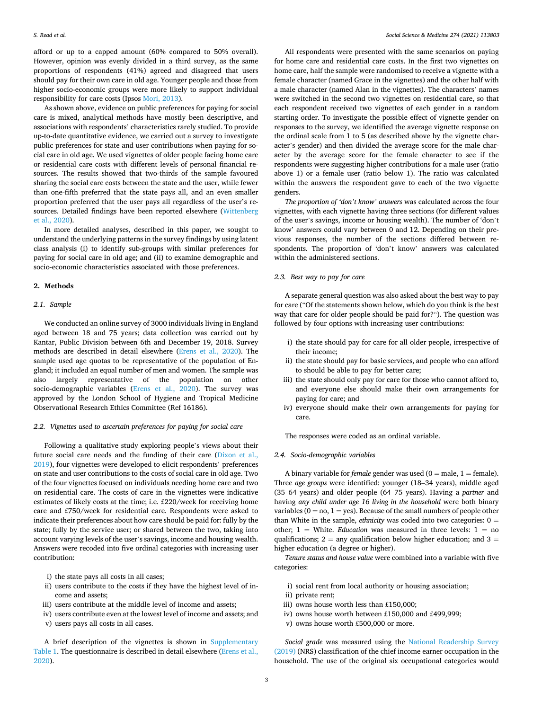afford or up to a capped amount (60% compared to 50% overall). However, opinion was evenly divided in a third survey, as the same proportions of respondents (41%) agreed and disagreed that users should pay for their own care in old age. Younger people and those from higher socio-economic groups were more likely to support individual responsibility for care costs (Ipsos [Mori, 2013](#page-7-0)).

As shown above, evidence on public preferences for paying for social care is mixed, analytical methods have mostly been descriptive, and associations with respondents' characteristics rarely studied. To provide up-to-date quantitative evidence, we carried out a survey to investigate public preferences for state and user contributions when paying for social care in old age. We used vignettes of older people facing home care or residential care costs with different levels of personal financial resources. The results showed that two-thirds of the sample favoured sharing the social care costs between the state and the user, while fewer than one-fifth preferred that the state pays all, and an even smaller proportion preferred that the user pays all regardless of the user's resources. Detailed findings have been reported elsewhere [\(Wittenberg](#page-8-0)  [et al., 2020\)](#page-8-0).

In more detailed analyses, described in this paper, we sought to understand the underlying patterns in the survey findings by using latent class analysis (i) to identify sub-groups with similar preferences for paying for social care in old age; and (ii) to examine demographic and socio-economic characteristics associated with those preferences.

## **2. Methods**

#### *2.1. Sample*

We conducted an online survey of 3000 individuals living in England aged between 18 and 75 years; data collection was carried out by Kantar, Public Division between 6th and December 19, 2018. Survey methods are described in detail elsewhere [\(Erens et al., 2020](#page-7-0)). The sample used age quotas to be representative of the population of England; it included an equal number of men and women. The sample was also largely representative of the population on other socio-demographic variables ([Erens et al., 2020\)](#page-7-0). The survey was approved by the London School of Hygiene and Tropical Medicine Observational Research Ethics Committee (Ref 16186).

## *2.2. Vignettes used to ascertain preferences for paying for social care*

Following a qualitative study exploring people's views about their future social care needs and the funding of their care [\(Dixon et al.,](#page-7-0)  [2019\)](#page-7-0), four vignettes were developed to elicit respondents' preferences on state and user contributions to the costs of social care in old age. Two of the four vignettes focused on individuals needing home care and two on residential care. The costs of care in the vignettes were indicative estimates of likely costs at the time; i.e. £220/week for receiving home care and £750/week for residential care. Respondents were asked to indicate their preferences about how care should be paid for: fully by the state; fully by the service user; or shared between the two, taking into account varying levels of the user's savings, income and housing wealth. Answers were recoded into five ordinal categories with increasing user contribution:

- i) the state pays all costs in all cases;
- ii) users contribute to the costs if they have the highest level of income and assets;
- iii) users contribute at the middle level of income and assets;
- iv) users contribute even at the lowest level of income and assets; and
- v) users pays all costs in all cases.

A brief description of the vignettes is shown in Supplementary Table 1. The questionnaire is described in detail elsewhere ([Erens et al.,](#page-7-0)  [2020\)](#page-7-0).

All respondents were presented with the same scenarios on paying for home care and residential care costs. In the first two vignettes on home care, half the sample were randomised to receive a vignette with a female character (named Grace in the vignettes) and the other half with a male character (named Alan in the vignettes). The characters' names were switched in the second two vignettes on residential care, so that each respondent received two vignettes of each gender in a random starting order. To investigate the possible effect of vignette gender on responses to the survey, we identified the average vignette response on the ordinal scale from 1 to 5 (as described above by the vignette character's gender) and then divided the average score for the male character by the average score for the female character to see if the respondents were suggesting higher contributions for a male user (ratio above 1) or a female user (ratio below 1). The ratio was calculated within the answers the respondent gave to each of the two vignette genders.

*The proportion of 'don't know' answers* was calculated across the four vignettes, with each vignette having three sections (for different values of the user's savings, income or housing wealth). The number of 'don't know' answers could vary between 0 and 12. Depending on their previous responses, the number of the sections differed between respondents. The proportion of 'don't know' answers was calculated within the administered sections.

## *2.3. Best way to pay for care*

A separate general question was also asked about the best way to pay for care ("Of the statements shown below, which do you think is the best way that care for older people should be paid for?"). The question was followed by four options with increasing user contributions:

- i) the state should pay for care for all older people, irrespective of their income;
- ii) the state should pay for basic services, and people who can afford to should be able to pay for better care;
- iii) the state should only pay for care for those who cannot afford to, and everyone else should make their own arrangements for paying for care; and
- iv) everyone should make their own arrangements for paying for care.

The responses were coded as an ordinal variable.

## *2.4. Socio-demographic variables*

A binary variable for *female* gender was used  $(0 = male, 1 = female)$ . Three *age groups* were identified: younger (18–34 years), middle aged (35–64 years) and older people (64–75 years). Having a *partner* and having *any child under age 16 living in the household* were both binary variables ( $0 = no$ ,  $1 = yes$ ). Because of the small numbers of people other than White in the sample, *ethnicity* was coded into two categories:  $0 =$ other; 1 = White. *Education* was measured in three levels: 1 = no qualifications;  $2 = \text{any }$  qualification below higher education; and  $3 =$ higher education (a degree or higher).

*Tenure status and house value* were combined into a variable with five categories:

- i) social rent from local authority or housing association;
- ii) private rent;
- iii) owns house worth less than £150,000;
- iv) owns house worth between £150,000 and £499,999;
- v) owns house worth £500,000 or more.

*Social grade* was measured using the [National Readership Survey](#page-7-0)  [\(2019\)](#page-7-0) (NRS) classification of the chief income earner occupation in the household. The use of the original six occupational categories would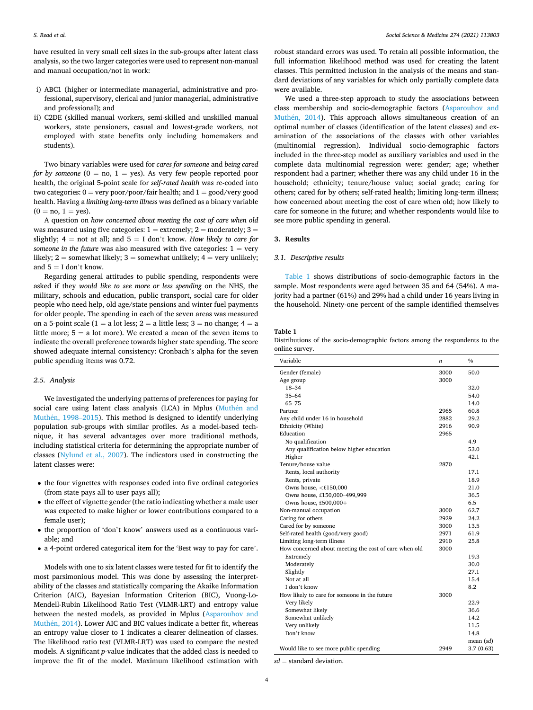<span id="page-3-0"></span>have resulted in very small cell sizes in the sub-groups after latent class analysis, so the two larger categories were used to represent non-manual and manual occupation/not in work:

- i) ABC1 (higher or intermediate managerial, administrative and professional, supervisory, clerical and junior managerial, administrative and professional); and
- ii) C2DE (skilled manual workers, semi-skilled and unskilled manual workers, state pensioners, casual and lowest-grade workers, not employed with state benefits only including homemakers and students).

Two binary variables were used for *cares for someone* and *being cared for by someone* ( $0 = no$ ,  $1 = yes$ ). As very few people reported poor health, the original 5-point scale for *self-rated health* was re-coded into two categories:  $0 = \text{very poor}/\text{poor}/\text{fair health}$ ; and  $1 = \text{good}/\text{very good}$ health. Having a *limiting long-term illness* was defined as a binary variable  $(0 = no, 1 = yes).$ 

A question on *how concerned about meeting the cost of care when old*  was measured using five categories:  $1 =$  extremely;  $2 =$  moderately;  $3 =$ slightly;  $4 = \text{not at all}$ ; and  $5 = I$  don't know. *How likely to care for someone in the future* was also measured with five categories:  $1 = \text{very}$ likely;  $2 =$  somewhat likely;  $3 =$  somewhat unlikely;  $4 =$  very unlikely; and  $5 = I$  don't know.

Regarding general attitudes to public spending, respondents were asked if they *would like to see more or less spending* on the NHS, the military, schools and education, public transport, social care for older people who need help, old age/state pensions and winter fuel payments for older people. The spending in each of the seven areas was measured on a 5-point scale (1 = a lot less; 2 = a little less; 3 = no change;  $4 = a$ little more;  $5 = a$  lot more). We created a mean of the seven items to indicate the overall preference towards higher state spending. The score showed adequate internal consistency: Cronbach's alpha for the seven public spending items was 0.72.

#### *2.5. Analysis*

We investigated the underlying patterns of preferences for paying for social care using latent class analysis (LCA) in Mplus (Muthén and Muthén, 1998–2015). This method is designed to identify underlying population sub-groups with similar profiles. As a model-based technique, it has several advantages over more traditional methods, including statistical criteria for determining the appropriate number of classes [\(Nylund et al., 2007](#page-7-0)). The indicators used in constructing the latent classes were:

- the four vignettes with responses coded into five ordinal categories (from state pays all to user pays all);
- the effect of vignette gender (the ratio indicating whether a male user was expected to make higher or lower contributions compared to a female user);
- the proportion of 'don't know' answers used as a continuous variable; and
- a 4-point ordered categorical item for the 'Best way to pay for care'.

Models with one to six latent classes were tested for fit to identify the most parsimonious model. This was done by assessing the interpretability of the classes and statistically comparing the Akaike Information Criterion (AIC), Bayesian Information Criterion (BIC), Vuong-Lo-Mendell-Rubin Likelihood Ratio Test (VLMR-LRT) and entropy value between the nested models, as provided in Mplus ([Asparouhov and](#page-7-0)  Muthén, 2014). Lower AIC and BIC values indicate a better fit, whereas an entropy value closer to 1 indicates a clearer delineation of classes. The likelihood ratio test (VLMR-LRT) was used to compare the nested models. A significant *p*-value indicates that the added class is needed to improve the fit of the model. Maximum likelihood estimation with robust standard errors was used. To retain all possible information, the full information likelihood method was used for creating the latent classes. This permitted inclusion in the analysis of the means and standard deviations of any variables for which only partially complete data were available.

We used a three-step approach to study the associations between class membership and socio-demographic factors ([Asparouhov and](#page-7-0)  Muthén, 2014). This approach allows simultaneous creation of an optimal number of classes (identification of the latent classes) and examination of the associations of the classes with other variables (multinomial regression). Individual socio-demographic factors included in the three-step model as auxiliary variables and used in the complete data multinomial regression were: gender; age; whether respondent had a partner; whether there was any child under 16 in the household; ethnicity; tenure/house value; social grade; caring for others; cared for by others; self-rated health; limiting long-term illness; how concerned about meeting the cost of care when old; how likely to care for someone in the future; and whether respondents would like to see more public spending in general.

#### **3. Results**

## *3.1. Descriptive results*

Table 1 shows distributions of socio-demographic factors in the sample. Most respondents were aged between 35 and 64 (54%). A majority had a partner (61%) and 29% had a child under 16 years living in the household. Ninety-one percent of the sample identified themselves

## **Table 1**

Distributions of the socio-demographic factors among the respondents to the online survey.

| Variable                                              | n    | $\frac{0}{0}$ |
|-------------------------------------------------------|------|---------------|
| Gender (female)                                       | 3000 | 50.0          |
| Age group                                             | 3000 |               |
| 18-34                                                 |      | 32.0          |
| $35 - 64$                                             |      | 54.0          |
| $65 - 75$                                             |      | 14.0          |
| Partner                                               | 2965 | 60.8          |
| Any child under 16 in household                       | 2882 | 29.2          |
| Ethnicity (White)                                     | 2916 | 90.9          |
| Education                                             | 2965 |               |
| No qualification                                      |      | 4.9           |
| Any qualification below higher education              |      | 53.0          |
| Higher                                                |      | 42.1          |
| Tenure/house value                                    | 2870 |               |
| Rents, local authority                                |      | 17.1          |
| Rents, private                                        |      | 18.9          |
| Owns house, $<$ £150,000                              |      | 21.0          |
| Owns house, £150,000-499,999                          |      | 36.5          |
| Owns house, £500,000+                                 |      | 6.5           |
| Non-manual occupation                                 | 3000 | 62.7          |
| Caring for others                                     | 2929 | 24.2          |
| Cared for by someone                                  | 3000 | 13.5          |
| Self-rated health (good/very good)                    | 2971 | 61.9          |
| Limiting long-term illness                            | 2910 | 25.8          |
| How concerned about meeting the cost of care when old | 3000 |               |
| Extremely                                             |      | 19.3          |
| Moderately                                            |      | 30.0          |
| Slightly                                              |      | 27.1          |
| Not at all                                            |      | 15.4          |
| I don't know                                          |      | 8.2           |
| How likely to care for someone in the future          | 3000 |               |
| Very likely                                           |      | 22.9          |
| Somewhat likely                                       |      | 36.6          |
| Somewhat unlikely                                     |      | 14.2          |
| Very unlikely                                         |      | 11.5          |
| Don't know                                            |      | 14.8          |
|                                                       |      | mean $(sd)$   |
| Would like to see more public spending                | 2949 | 3.7(0.63)     |

*sd* = standard deviation.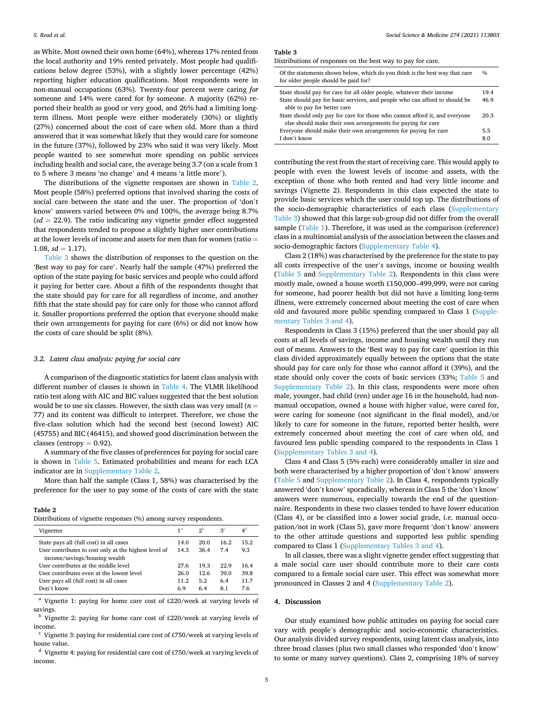as White. Most owned their own home (64%), whereas 17% rented from the local authority and 19% rented privately. Most people had qualifications below degree (53%), with a slightly lower percentage (42%) reporting higher education qualifications. Most respondents were in non-manual occupations (63%). Twenty-four percent were caring *for*  someone and 14% were cared for *by* someone. A majority (62%) reported their health as good or very good, and 26% had a limiting longterm illness. Most people were either moderately (30%) or slightly (27%) concerned about the cost of care when old. More than a third answered that it was somewhat likely that they would care for someone in the future (37%), followed by 23% who said it was very likely. Most people wanted to see somewhat more spending on public services including health and social care, the average being 3.7 (on a scale from 1 to 5 where 3 means 'no change' and 4 means 'a little more').

The distributions of the vignette responses are shown in Table 2. Most people (58%) preferred options that involved sharing the costs of social care between the state and the user. The proportion of 'don't know' answers varied between 0% and 100%, the average being 8.7%  $sd = 22.9$ ). The ratio indicating any vignette gender effect suggested that respondents tended to propose a slightly higher user contributions at the lower levels of income and assets for men than for women (ratio =  $1.08, sd = 1.17$ ).

Table 3 shows the distribution of responses to the question on the 'Best way to pay for care'. Nearly half the sample (47%) preferred the option of the state paying for basic services and people who could afford it paying for better care. About a fifth of the respondents thought that the state should pay for care for all regardless of income, and another fifth that the state should pay for care only for those who cannot afford it. Smaller proportions preferred the option that everyone should make their own arrangements for paying for care (6%) or did not know how the costs of care should be split (8%).

#### *3.2. Latent class analysis: paying for social care*

A comparison of the diagnostic statistics for latent class analysis with different number of classes is shown in [Table 4.](#page-5-0) The VLMR likelihood ratio test along with AIC and BIC values suggested that the best solution would be to use six classes. However, the sixth class was very small (*n* = 77) and its content was difficult to interpret. Therefore, we chose the five-class solution which had the second best (second lowest) AIC (45755) and BIC (46415), and showed good discrimination between the classes (entropy  $= 0.92$ ).

A summary of the five classes of preferences for paying for social care is shown in [Table 5](#page-5-0). Estimated probabilities and means for each LCA indicator are in Supplementary Table 2.

More than half the sample (Class 1, 58%) was characterised by the preference for the user to pay some of the costs of care with the state

#### **Table 2**

| Vignettes                                                                              | 1 <sup>a</sup> | 2 <sub>D</sub> | ςc   | $4^{\alpha}$ |
|----------------------------------------------------------------------------------------|----------------|----------------|------|--------------|
| State pays all (full cost) in all cases                                                | 14.0           | 20.0           | 16.2 | 15.2         |
| User contributes to cost only at the highest level of<br>income/savings/housing wealth | 14.3           | 36.4           | 7.4  | 9.3          |
| User contributes at the middle level                                                   | 27.6           | 19.3           | 22.9 | 16.4         |
| User contributes even at the lowest level                                              | 26.0           | 12.6           | 39.0 | 39.8         |
| User pays all (full cost) in all cases                                                 | 11.2           | 5.2            | 6.4  | 11.7         |
| Don't know                                                                             | 6.9            | 6.4            | 8.1  | 7.6          |

<sup>a</sup> Vignette 1: paying for home care cost of £220/week at varying levels of savings.

 $<sup>b</sup>$  Vignette 2: paying for home care cost of £220/week at varying levels of</sup> income.

 $^{\rm c}$  Vignette 3: paying for residential care cost of £750/week at varying levels of house value.<br>d Vignette 4: paying for residential care cost of £750/week at varying levels of

income.

#### **Table 3**

Distributions of responses on the best way to pay for care.

| Of the statements shown below, which do you think is the best way that care<br>for older people should be paid for?                        | $\frac{0}{0}$ |
|--------------------------------------------------------------------------------------------------------------------------------------------|---------------|
| State should pay for care for all older people, whatever their income                                                                      | 19.4          |
| State should pay for basic services, and people who can afford to should be<br>able to pay for better care                                 | 46.9          |
| State should only pay for care for those who cannot afford it, and everyone<br>else should make their own arrangements for paying for care | 20.3          |
| Everyone should make their own arrangements for paying for care                                                                            | 5.5           |
| I don't know                                                                                                                               | 8.0           |

contributing the rest from the start of receiving care. This would apply to people with even the lowest levels of income and assets, with the exception of those who both rented and had very little income and savings (Vignette 2). Respondents in this class expected the state to provide basic services which the user could top up. The distributions of the socio-demographic characteristics of each class (Supplementary Table 3) showed that this large sub-group did not differ from the overall sample ([Table 1](#page-3-0)). Therefore, it was used as the comparison (reference) class in a multinomial analysis of the association between the classes and socio-demographic factors (Supplementary Table 4).

Class 2 (18%) was characterised by the preference for the state to pay all costs irrespective of the user's savings, income or housing wealth ([Table 5](#page-5-0) and Supplementary Table 2). Respondents in this class were mostly male, owned a house worth £150,000–499,999, were not caring for someone, had poorer health but did not have a limiting long-term illness, were extremely concerned about meeting the cost of care when old and favoured more public spending compared to Class 1 (Supplementary Tables 3 and 4).

Respondents in Class 3 (15%) preferred that the user should pay all costs at all levels of savings, income and housing wealth until they run out of means. Answers to the 'Best way to pay for care' question in this class divided approximately equally between the options that the state should pay for care only for those who cannot afford it (39%), and the state should only cover the costs of basic services (33%; [Table 5](#page-5-0) and Supplementary Table 2). In this class, respondents were more often male, younger, had child (ren) under age 16 in the household, had nonmanual occupation, owned a house with higher value, were cared for, were caring for someone (not significant in the final model), and/or likely to care for someone in the future, reported better health, were extremely concerned about meeting the cost of care when old, and favoured less public spending compared to the respondents in Class 1 (Supplementary Tables 3 and 4).

Class 4 and Class 5 (5% each) were considerably smaller in size and both were characterised by a higher proportion of 'don't know' answers ([Table 5](#page-5-0) and Supplementary Table 2). In Class 4, respondents typically answered 'don't know' sporadically, whereas in Class 5 the 'don't know' answers were numerous, especially towards the end of the questionnaire. Respondents in these two classes tended to have lower education (Class 4), or be classified into a lower social grade, i.e. manual occupation/not in work (Class 5), gave more frequent 'don't know' answers to the other attitude questions and supported less public spending compared to Class 1 (Supplementary Tables 3 and 4).

In all classes, there was a slight vignette gender effect suggesting that a male social care user should contribute more to their care costs compared to a female social care user. This effect was somewhat more pronounced in Classes 2 and 4 (Supplementary Table 2).

## **4. Discussion**

Our study examined how public attitudes on paying for social care vary with people's demographic and socio-economic characteristics. Our analysis divided survey respondents, using latent class analysis, into three broad classes (plus two small classes who responded 'don't know' to some or many survey questions). Class 2, comprising 18% of survey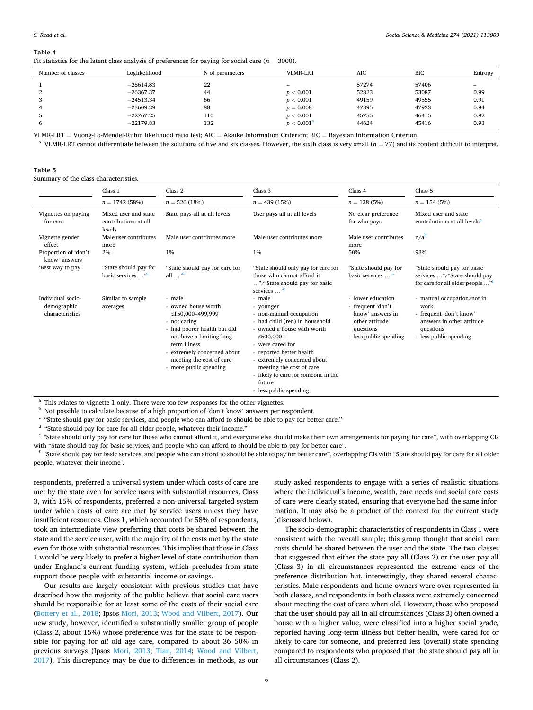<span id="page-5-0"></span>**Table 4** 

| Fit statistics for the latent class analysis of preferences for paying for social care ( $n = 3000$ ). |  |  |
|--------------------------------------------------------------------------------------------------------|--|--|
|                                                                                                        |  |  |

| Number of classes | Loglikelihood | N of parameters | VLMR-LRT            | <b>AIC</b> | <b>BIC</b> | Entropy |
|-------------------|---------------|-----------------|---------------------|------------|------------|---------|
|                   | $-28614.83$   | 22              |                     | 57274      | 57406      |         |
|                   | $-26367.37$   | 44              | p < 0.001           | 52823      | 53087      | 0.99    |
|                   | $-24513.34$   | 66              | p < 0.001           | 49159      | 49555      | 0.91    |
|                   | $-23609.29$   | 88              | $p = 0.008$         | 47395      | 47923      | 0.94    |
|                   | $-22767.25$   | 110             | p < 0.001           | 45755      | 46415      | 0.92    |
|                   | $-22179.83$   | 132             | $p < 0.001^{\rm a}$ | 44624      | 45416      | 0.93    |

VLMR-LRT = Vuong-Lo-Mendel-Rubin likelihood ratio test; AIC = Akaike Information Criterion; BIC = Bayesian Information Criterion.<br><sup>a</sup> VLMR-LRT cannot differentiate between the solutions of five and six classes. However, t

| .<br>٠ |  |
|--------|--|
|--------|--|

Summary of the class characteristics.

|                                                     | Class 1                                                | Class 2                                                                                                                                                                                                                            | Class 3                                                                                                                                                                                                                                                                                                           | Class 4                                                                                                             | Class 5                                                                                                                           |
|-----------------------------------------------------|--------------------------------------------------------|------------------------------------------------------------------------------------------------------------------------------------------------------------------------------------------------------------------------------------|-------------------------------------------------------------------------------------------------------------------------------------------------------------------------------------------------------------------------------------------------------------------------------------------------------------------|---------------------------------------------------------------------------------------------------------------------|-----------------------------------------------------------------------------------------------------------------------------------|
|                                                     | $n = 1742(58%)$                                        | $n = 526(18%)$                                                                                                                                                                                                                     | $n = 439(15%)$                                                                                                                                                                                                                                                                                                    | $n = 138(5%)$                                                                                                       | $n = 154(5%)$                                                                                                                     |
| Vignettes on paying<br>for care                     | Mixed user and state<br>contributions at all<br>levels | State pays all at all levels                                                                                                                                                                                                       | User pays all at all levels                                                                                                                                                                                                                                                                                       | No clear preference<br>for who pays                                                                                 | Mixed user and state<br>contributions at all levels <sup>a</sup>                                                                  |
| Vignette gender<br>effect                           | Male user contributes<br>more                          | Male user contributes more                                                                                                                                                                                                         | Male user contributes more                                                                                                                                                                                                                                                                                        | Male user contributes<br>more                                                                                       | $n/a^b$                                                                                                                           |
| Proportion of 'don't<br>know' answers               | 2%                                                     | $1\%$                                                                                                                                                                                                                              | $1\%$                                                                                                                                                                                                                                                                                                             | 50%                                                                                                                 | 93%                                                                                                                               |
| 'Best way to pay'                                   | "State should pay for<br>basic services " <sup>c</sup> | "State should pay for care for<br>all $\cdots$ <sup>d</sup>                                                                                                                                                                        | "State should only pay for care for<br>those who cannot afford it<br>"/"State should pay for basic<br>services " <sup>e</sup>                                                                                                                                                                                     | "State should pay for<br>basic services " <sup>c</sup>                                                              | "State should pay for basic<br>services "/"State should pay<br>for care for all older people "                                    |
| Individual socio-<br>demographic<br>characteristics | Similar to sample<br>averages                          | - male<br>- owned house worth<br>£150,000-499.999<br>- not caring<br>- had poorer health but did<br>not have a limiting long-<br>term illness<br>- extremely concerned about<br>meeting the cost of care<br>- more public spending | - male<br>- younger<br>- non-manual occupation<br>- had child (ren) in household<br>- owned a house with worth<br>£500,000+<br>- were cared for<br>- reported better health<br>- extremely concerned about<br>meeting the cost of care<br>- likely to care for someone in the<br>future<br>- less public spending | - lower education<br>- frequent 'don't<br>know' answers in<br>other attitude<br>questions<br>- less public spending | - manual occupation/not in<br>work<br>- frequent 'don't know'<br>answers in other attitude<br>questions<br>- less public spending |

 $^{\rm a}$  This relates to vignette 1 only. There were too few responses for the other vignettes.  $^{\rm b}$  Not possible to calculate because of a high proportion of 'don't know' answers per respondent.  $^{\rm c}$  'State should p

<sup>d</sup> "State should pay for care for all older people, whatever their income."

<sup>e</sup> "State should only pay for care for those who cannot afford it, and everyone else should make their own arrangements for paying for care", with overlapping CIs

with "State should pay for basic services, and people who can afford to should be able to pay for better care".<br>"State should pay for basic services, and people who can afford to should be able to pay for better care", ove people, whatever their income".

respondents, preferred a universal system under which costs of care are met by the state even for service users with substantial resources. Class 3, with 15% of respondents, preferred a non-universal targeted system under which costs of care are met by service users unless they have insufficient resources. Class 1, which accounted for 58% of respondents, took an intermediate view preferring that costs be shared between the state and the service user, with the majority of the costs met by the state even for those with substantial resources. This implies that those in Class 1 would be very likely to prefer a higher level of state contribution than under England's current funding system, which precludes from state support those people with substantial income or savings.

Our results are largely consistent with previous studies that have described how the majority of the public believe that social care users should be responsible for at least some of the costs of their social care ([Bottery et al., 2018](#page-7-0); Ipsos [Mori, 2013;](#page-7-0) [Wood and Vilbert, 2017](#page-8-0)). Our new study, however, identified a substantially smaller group of people (Class 2, about 15%) whose preference was for the state to be responsible for paying for *all* old age care, compared to about 36–50% in previous surveys (Ipsos [Mori, 2013](#page-7-0); [Tian, 2014](#page-7-0); [Wood and Vilbert,](#page-8-0)  [2017\)](#page-8-0). This discrepancy may be due to differences in methods, as our

study asked respondents to engage with a series of realistic situations where the individual's income, wealth, care needs and social care costs of care were clearly stated, ensuring that everyone had the same information. It may also be a product of the context for the current study (discussed below).

The socio-demographic characteristics of respondents in Class 1 were consistent with the overall sample; this group thought that social care costs should be shared between the user and the state. The two classes that suggested that either the state pay all (Class 2) or the user pay all (Class 3) in all circumstances represented the extreme ends of the preference distribution but, interestingly, they shared several characteristics. Male respondents and home owners were over-represented in both classes, and respondents in both classes were extremely concerned about meeting the cost of care when old. However, those who proposed that the user should pay all in all circumstances (Class 3) often owned a house with a higher value, were classified into a higher social grade, reported having long-term illness but better health, were cared for or likely to care for someone, and preferred less (overall) state spending compared to respondents who proposed that the state should pay all in all circumstances (Class 2).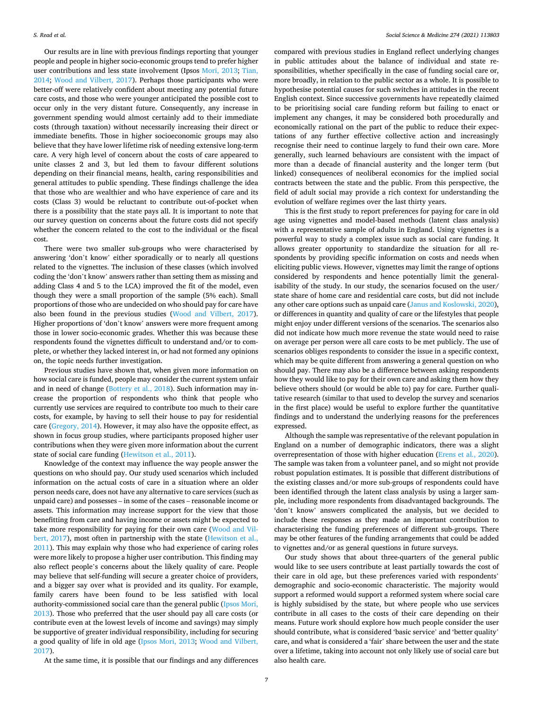Our results are in line with previous findings reporting that younger people and people in higher socio-economic groups tend to prefer higher user contributions and less state involvement (Ipsos [Mori, 2013;](#page-7-0) [Tian,](#page-7-0)  [2014;](#page-7-0) [Wood and Vilbert, 2017\)](#page-8-0). Perhaps those participants who were better-off were relatively confident about meeting any potential future care costs, and those who were younger anticipated the possible cost to occur only in the very distant future. Consequently, any increase in government spending would almost certainly add to their immediate costs (through taxation) without necessarily increasing their direct or immediate benefits. Those in higher socioeconomic groups may also believe that they have lower lifetime risk of needing extensive long-term care. A very high level of concern about the costs of care appeared to unite classes 2 and 3, but led them to favour different solutions depending on their financial means, health, caring responsibilities and general attitudes to public spending. These findings challenge the idea that those who are wealthier and who have experience of care and its costs (Class 3) would be reluctant to contribute out-of-pocket when there is a possibility that the state pays all. It is important to note that our survey question on concerns about the future costs did not specify whether the concern related to the cost to the individual or the fiscal cost.

There were two smaller sub-groups who were characterised by answering 'don't know' either sporadically or to nearly all questions related to the vignettes. The inclusion of these classes (which involved coding the 'don't know' answers rather than setting them as missing and adding Class 4 and 5 to the LCA) improved the fit of the model, even though they were a small proportion of the sample (5% each). Small proportions of those who are undecided on who should pay for care have also been found in the previous studies [\(Wood and Vilbert, 2017](#page-8-0)). Higher proportions of 'don't know' answers were more frequent among those in lower socio-economic grades. Whether this was because these respondents found the vignettes difficult to understand and/or to complete, or whether they lacked interest in, or had not formed any opinions on, the topic needs further investigation.

Previous studies have shown that, when given more information on how social care is funded, people may consider the current system unfair and in need of change ([Bottery et al., 2018](#page-7-0)). Such information may increase the proportion of respondents who think that people who currently use services are required to contribute too much to their care costs, for example, by having to sell their house to pay for residential care ([Gregory, 2014\)](#page-7-0). However, it may also have the opposite effect, as shown in focus group studies, where participants proposed higher user contributions when they were given more information about the current state of social care funding [\(Hewitson et al., 2011\)](#page-7-0).

Knowledge of the context may influence the way people answer the questions on who should pay. Our study used scenarios which included information on the actual costs of care in a situation where an older person needs care, does not have any alternative to care services (such as unpaid care) and possesses – in some of the cases – reasonable income or assets. This information may increase support for the view that those benefitting from care and having income or assets might be expected to take more responsibility for paying for their own care ([Wood and Vil](#page-8-0)[bert, 2017\)](#page-8-0), most often in partnership with the state [\(Hewitson et al.,](#page-7-0)  [2011\)](#page-7-0). This may explain why those who had experience of caring roles were more likely to propose a higher user contribution. This finding may also reflect people's concerns about the likely quality of care. People may believe that self-funding will secure a greater choice of providers, and a bigger say over what is provided and its quality. For example, family carers have been found to be less satisfied with local authority-commissioned social care than the general public ([Ipsos Mori,](#page-7-0)  [2013\)](#page-7-0). Those who preferred that the user should pay all care costs (or contribute even at the lowest levels of income and savings) may simply be supportive of greater individual responsibility, including for securing a good quality of life in old age ([Ipsos Mori, 2013;](#page-7-0) [Wood and Vilbert,](#page-8-0)  [2017\)](#page-8-0).

compared with previous studies in England reflect underlying changes in public attitudes about the balance of individual and state responsibilities, whether specifically in the case of funding social care or, more broadly, in relation to the public sector as a whole. It is possible to hypothesise potential causes for such switches in attitudes in the recent English context. Since successive governments have repeatedly claimed to be prioritising social care funding reform but failing to enact or implement any changes, it may be considered both procedurally and economically rational on the part of the public to reduce their expectations of any further effective collective action and increasingly recognise their need to continue largely to fund their own care. More generally, such learned behaviours are consistent with the impact of more than a decade of financial austerity and the longer term (but linked) consequences of neoliberal economics for the implied social contracts between the state and the public. From this perspective, the field of adult social may provide a rich context for understanding the evolution of welfare regimes over the last thirty years.

This is the first study to report preferences for paying for care in old age using vignettes and model-based methods (latent class analysis) with a representative sample of adults in England. Using vignettes is a powerful way to study a complex issue such as social care funding. It allows greater opportunity to standardize the situation for all respondents by providing specific information on costs and needs when eliciting public views. However, vignettes may limit the range of options considered by respondents and hence potentially limit the generalisability of the study. In our study, the scenarios focused on the user/ state share of home care and residential care costs, but did not include any other care options such as unpaid care [\(Janus and Koslowski, 2020](#page-7-0)), or differences in quantity and quality of care or the lifestyles that people might enjoy under different versions of the scenarios. The scenarios also did not indicate how much more revenue the state would need to raise on average per person were all care costs to be met publicly. The use of scenarios obliges respondents to consider the issue in a specific context, which may be quite different from answering a general question on who should pay. There may also be a difference between asking respondents how they would like to pay for their own care and asking them how they believe others should (or would be able to) pay for care. Further qualitative research (similar to that used to develop the survey and scenarios in the first place) would be useful to explore further the quantitative findings and to understand the underlying reasons for the preferences expressed.

Although the sample was representative of the relevant population in England on a number of demographic indicators, there was a slight overrepresentation of those with higher education [\(Erens et al., 2020](#page-7-0)). The sample was taken from a volunteer panel, and so might not provide robust population estimates. It is possible that different distributions of the existing classes and/or more sub-groups of respondents could have been identified through the latent class analysis by using a larger sample, including more respondents from disadvantaged backgrounds. The 'don't know' answers complicated the analysis, but we decided to include these responses as they made an important contribution to characterising the funding preferences of different sub-groups. There may be other features of the funding arrangements that could be added to vignettes and/or as general questions in future surveys.

Our study shows that about three-quarters of the general public would like to see users contribute at least partially towards the cost of their care in old age, but these preferences varied with respondents' demographic and socio-economic characteristic. The majority would support a reformed would support a reformed system where social care is highly subsidised by the state, but where people who use services contribute in all cases to the costs of their care depending on their means. Future work should explore how much people consider the user should contribute, what is considered 'basic service' and 'better quality' care, and what is considered a 'fair' share between the user and the state over a lifetime, taking into account not only likely use of social care but also health care.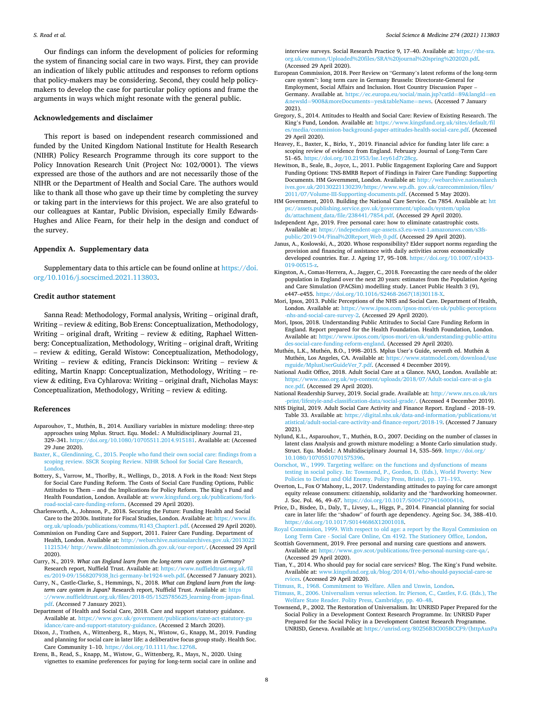<span id="page-7-0"></span>Our findings can inform the development of policies for reforming the system of financing social care in two ways. First, they can provide an indication of likely public attitudes and responses to reform options that policy-makers may be considering. Second, they could help policymakers to develop the case for particular policy options and frame the arguments in ways which might resonate with the general public.

#### **Acknowledgements and disclaimer**

This report is based on independent research commissioned and funded by the United Kingdom National Institute for Health Research (NIHR) Policy Research Programme through its core support to the Policy Innovation Research Unit (Project No: 102/0001). The views expressed are those of the authors and are not necessarily those of the NIHR or the Department of Health and Social Care. The authors would like to thank all those who gave up their time by completing the survey or taking part in the interviews for this project. We are also grateful to our colleagues at Kantar, Public Division, especially Emily Edwards-Hughes and Alice Fearn, for their help in the design and conduct of the survey.

## **Appendix A. Supplementary data**

Supplementary data to this article can be found online at [https://doi.](https://doi.org/10.1016/j.socscimed.2021.113803)  [org/10.1016/j.socscimed.2021.113803.](https://doi.org/10.1016/j.socscimed.2021.113803)

## **Credit author statement**

Sanna Read: Methodology, Formal analysis, Writing – original draft, Writing – review & editing, Bob Erens: Conceptualization, Methodology, Writing – original draft, Writing – review  $\&$  editing, Raphael Wittenberg: Conceptualization, Methodology, Writing – original draft, Writing – review & editing, Gerald Wistow: Conceptualization, Methodology, Writing – review  $\&$  editing, Francis Dickinson: Writing – review  $\&$ editing, Martin Knapp: Conceptualization, Methodology, Writing – review & editing, Eva Cyhlarova: Writing – original draft, Nicholas Mays: Conceptualization, Methodology, Writing – review  $\&$  editing.

#### **References**

- Asparouhov, T., Muthén, B., 2014. Auxiliary variables in mixture modeling: three-step approaches using Mplus. Struct. Equ. Model.: A Multidisciplinary Journal 21, 329–341. [https://doi.org/10.1080/10705511.2014.915181.](https://doi.org/10.1080/10705511.2014.915181) Available at: (Accessed 29 June 2020).
- [Baxter, K., Glendinning, C., 2015. People who fund their own social care: findings from a](http://refhub.elsevier.com/S0277-9536(21)00135-0/sref3)  [scoping review. SSCR Scoping Review. NIHR School for Social Care Research,](http://refhub.elsevier.com/S0277-9536(21)00135-0/sref3)  [London.](http://refhub.elsevier.com/S0277-9536(21)00135-0/sref3)
- Bottery, S., Varrow, M., Thorlby, R., Wellings, D., 2018. A Fork in the Road: Next Steps for Social Care Funding Reform. The Costs of Social Care Funding Options, Public Attitudes to Them – and the Implications for Policy Reform. The King's Fund and Health Foundation, London. Available at: [www.kingsfund.org.uk/publications/fork](http://www.kingsfund.org.uk/publications/fork-road-social-care-funding-reform)[road-social-care-funding-reform](http://www.kingsfund.org.uk/publications/fork-road-social-care-funding-reform). (Accessed 29 April 2020).
- Charlesworth, A., Johnson, P., 2018. Securing the Future: Funding Health and Social Care to the 2030s. Institute for Fiscal Studies, London. Available at: [https://www.ifs.](https://www.ifs.org.uk/uploads/publications/comms/R143_Chapter1.pdf)  [org.uk/uploads/publications/comms/R143\\_Chapter1.pdf](https://www.ifs.org.uk/uploads/publications/comms/R143_Chapter1.pdf). (Accessed 29 April 2020).
- Commission on Funding Care and Support, 2011. Fairer Care Funding. Department of Health, London. Available at: [http://webarchive.nationalarchives.gov.uk/2013022](http://webarchive.nationalarchives.gov.uk/20130221121534/)  [1121534/](http://webarchive.nationalarchives.gov.uk/20130221121534/) [http://www.dilnotcommission.dh.gov.uk/our-report/.](http://www.dilnotcommission.dh.gov.uk/our-report/) (Accessed 29 April 2020).
- Curry, N., 2019. *What can England learn from the long-term care system in Germany?*  Research report, Nuffield Trust. Available at: [https://www.nuffieldtrust.org.uk/fil](https://www.nuffieldtrust.org.uk/files/2019-09/1568207938_ltci-germany-br1924-web.pdf)  es/2019-09/1568207938 ltci-germany-br1924-web.pdf. (Accessed 7 January 2021).
- Curry, N., Castle-Clarke, S., Hemmings, N., 2018. *What can England learn from the longterm care system in Japan?* Research report, Nuffield Trust. Available at: [https](https://www.nuffieldtrust.org.uk/files/2018-05/1525785625_learning-from-japan-final.pdf)  [://www.nuffieldtrust.org.uk/files/2018-05/1525785625\\_learning-from-japan-final.](https://www.nuffieldtrust.org.uk/files/2018-05/1525785625_learning-from-japan-final.pdf)
- [pdf.](https://www.nuffieldtrust.org.uk/files/2018-05/1525785625_learning-from-japan-final.pdf) (Accessed 7 January 2021). Department of Health and Social Care, 2018. Care and support statutory guidance. Available at. [https://www.gov.uk/government/publications/care-act-statutory-gu](https://www.gov.uk/government/publications/care-act-statutory-guidance/care-and-support-statutory-guidance)  [idance/care-and-support-statutory-guidance.](https://www.gov.uk/government/publications/care-act-statutory-guidance/care-and-support-statutory-guidance) (Accessed 2 March 2020).
- Dixon, J., Trathen, A., Wittenberg, R., Mays, N., Wistow, G., Knapp, M., 2019. Funding and planning for social care in later life: a deliberative focus group study. Health Soc. Care Community 1–10. <https://doi.org/10.1111/hsc.12768>.
- Erens, B., Read, S., Knapp, M., Wistow, G., Wittenberg, R., Mays, N., 2020. Using vignettes to examine preferences for paying for long-term social care in online and

interview surveys. Social Research Practice 9, 17–40. Available at: [https://the-sra.](https://the-sra.org.uk/common/Uploaded%20files/SRA%20journal%20spring%202020.pdf)  [org.uk/common/Uploaded%20files/SRA%20journal%20spring%202020.pdf.](https://the-sra.org.uk/common/Uploaded%20files/SRA%20journal%20spring%202020.pdf) (Accessed 29 April 2020).

- European Commission, 2018. Peer Review on "Germany's latest reforms of the long-term care system": long term care in Germany Brussels: Directorate-General for Employment, Social Affairs and Inclusion. Host Country Discussion Paper – Germany. Available at. [https://ec.europa.eu/social/main.jsp?catId](https://ec.europa.eu/social/main.jsp?catId=89&langId=en&newsId=9008&moreDocuments=yes&tableName=news)=89&langId=en &newsId=9008&[moreDocuments](https://ec.europa.eu/social/main.jsp?catId=89&langId=en&newsId=9008&moreDocuments=yes&tableName=news)=yes&tableName=news. (Accessed 7 January 2021).
- Gregory, S., 2014. Attitudes to Health and Social Care: Review of Existing Research. The King's Fund, London. Available at: [https://www.kingsfund.org.uk/sites/default/fil](https://www.kingsfund.org.uk/sites/default/files/media/commission-background-paper-attitudes-health-social-care.pdf) [es/media/commission-background-paper-attitudes-health-social-care.pdf.](https://www.kingsfund.org.uk/sites/default/files/media/commission-background-paper-attitudes-health-social-care.pdf) (Accessed 29 April 2020).
- Heavey, E., Baxter, K., Birks, Y., 2019. Financial advice for funding later life care: a scoping review of evidence from England. February Journal of Long-Term Care 51–65. <https://doi.org/10.21953/lse.1ey61d7r28cg>.
- Hewitson, B., Seale, B., Joyce, L., 2011. Public Engagement Exploring Care and Support Funding Options: TNS-BMRB Report of Findings in Fairer Care Funding: Supporting Documents. HM Government, London. Available at: [http://webarchive.nationalarch](http://webarchive.nationalarchives.gov.uk/20130221130239/https://www.wp.dh.%20gov.uk/carecommission/files/2011/07/Volume-III-Supporting-documents.pdf)  [ives.gov.uk/20130221130239/https://www.wp.dh. gov.uk/carecommission/files/](http://webarchive.nationalarchives.gov.uk/20130221130239/https://www.wp.dh.%20gov.uk/carecommission/files/2011/07/Volume-III-Supporting-documents.pdf) [2011/07/Volume-III-Supporting-documents.pdf](http://webarchive.nationalarchives.gov.uk/20130221130239/https://www.wp.dh.%20gov.uk/carecommission/files/2011/07/Volume-III-Supporting-documents.pdf). (Accessed 5 May 2020).
- HM Government, 2010. Building the National Care Service. Cm 7854. Available at: [htt](https://assets.publishing.service.gov.uk/government/uploads/system/uploads/attachment_data/file/238441/7854.pdf) [ps://assets.publishing.service.gov.uk/government/uploads/system/uploa](https://assets.publishing.service.gov.uk/government/uploads/system/uploads/attachment_data/file/238441/7854.pdf)  [ds/attachment\\_data/file/238441/7854.pdf](https://assets.publishing.service.gov.uk/government/uploads/system/uploads/attachment_data/file/238441/7854.pdf). (Accessed 29 April 2020).
- Independent Age, 2019. Free personal care: how to eliminate catastrophic costs. Available at: [https://independent-age-assets.s3.eu-west-1.amazonaws.com/s3fs](https://independent-age-assets.s3.eu-west-1.amazonaws.com/s3fs-public/2019-04/Final%20Report_Web_0.pdf)[public/2019-04/Final%20Report\\_Web\\_0.pdf](https://independent-age-assets.s3.eu-west-1.amazonaws.com/s3fs-public/2019-04/Final%20Report_Web_0.pdf). (Accessed 29 April 2020).
- Janus, A., Koslowski, A., 2020. Whose responsibility? Elder support norms regarding the provision and financing of assistance with daily activities across economically developed countries. Eur. J. Ageing 17, 95–108. [https://doi.org/10.1007/s10433-](https://doi.org/10.1007/s10433-019-00515-z) [019-00515-z](https://doi.org/10.1007/s10433-019-00515-z).
- Kingston, A., Comas-Herrera, A., Jagger, C., 2018. Forecasting the care needs of the older population in England over the next 20 years: estimates from the Population Ageing and Care Simulation (PACSim) modelling study. Lancet Public Health 3 (9), e447–e455. [https://doi.org/10.1016/S2468-2667\(18\)30118-X](https://doi.org/10.1016/S2468-2667(18)30118-X).
- Mori, Ipsos, 2013. Public Perceptions of the NHS and Social Care. Department of Health, London. Available at: [https://www.ipsos.com/ipsos-mori/en-uk/public-perceptions](https://www.ipsos.com/ipsos-mori/en-uk/public-perceptions-nhs-and-social-care-survey-2)  [-nhs-and-social-care-survey-2](https://www.ipsos.com/ipsos-mori/en-uk/public-perceptions-nhs-and-social-care-survey-2). (Accessed 29 April 2020).
- Mori, Ipsos, 2018. Understanding Public Attitudes to Social Care Funding Reform in England. Report prepared for the Health Foundation. Health Foundation, London. Available at: [https://www.ipsos.com/ipsos-mori/en-uk/understanding-public-attitu](https://www.ipsos.com/ipsos-mori/en-uk/understanding-public-attitudes-social-care-funding-reform-england) [des-social-care-funding-reform-england](https://www.ipsos.com/ipsos-mori/en-uk/understanding-public-attitudes-social-care-funding-reform-england). (Accessed 29 April 2020).
- Muthén, L.K., Muthén, B.O., 1998–2015. Mplus User's Guide, seventh ed. Muthén  $\&$ Muthén, Los Angeles, CA. Available at: [https://www.statmodel.com/download/use](https://www.statmodel.com/download/usersguide/MplusUserGuideVer_7.pdf) [rsguide/MplusUserGuideVer\\_7.pdf.](https://www.statmodel.com/download/usersguide/MplusUserGuideVer_7.pdf) (Accessed 4 December 2019).
- National Audit Office, 2018. Adult Social Care at a Glance. NAO, London. Available at: [https://www.nao.org.uk/wp-content/uploads/2018/07/Adult-social-care-at-a-gla](https://www.nao.org.uk/wp-content/uploads/2018/07/Adult-social-care-at-a-glance.pdf) [nce.pdf](https://www.nao.org.uk/wp-content/uploads/2018/07/Adult-social-care-at-a-glance.pdf). (Accessed 29 April 2020).

National Readership Survey, 2019. Social grade. Available at: [http://www.nrs.co.uk/nrs](http://www.nrs.co.uk/nrs-print/lifestyle-and-classification-data/social-grade/)  [-print/lifestyle-and-classification-data/social-grade/](http://www.nrs.co.uk/nrs-print/lifestyle-and-classification-data/social-grade/). (Accessed 4 December 2019).

- NHS Digital, 2019. Adult Social Care Activity and Finance Report. England 2018–19. Table 33. Available at: [https://digital.nhs.uk/data-and-information/publications/st](https://digital.nhs.uk/data-and-information/publications/statistical/adult-social-care-activity-and-finance-report/2018-19)  [atistical/adult-social-care-activity-and-finance-report/2018-19.](https://digital.nhs.uk/data-and-information/publications/statistical/adult-social-care-activity-and-finance-report/2018-19) (Accessed 7 January 2021).
- Nylund, K.L., Asparouhov, T., Muthén, B.O., 2007. Deciding on the number of classes in latent class Analysis and growth mixture modeling: a Monte Carlo simulation study. Struct. Equ. Model.: A Multidisciplinary Journal 14, 535–569. [https://doi.org/](https://doi.org/10.1080/10705510701575396)  [10.1080/10705510701575396](https://doi.org/10.1080/10705510701575396).

[Oorschot, W., 1999. Targeting welfare: on the functions and dysfunctions of means](http://refhub.elsevier.com/S0277-9536(21)00135-0/sref27) [testing in social policy. In: Townsend, P., Gordon, D. \(Eds.\), World Poverty: New](http://refhub.elsevier.com/S0277-9536(21)00135-0/sref27)  [Policies to Defeat and Old Enemy. Policy Press, Bristol, pp. 171](http://refhub.elsevier.com/S0277-9536(21)00135-0/sref27)–193.

- Overton, L., Fox O'Mahony, L., 2017. Understanding attitudes to paying for care amongst equity release consumers: citizenship, solidarity and the "hardworking homeowner. J. Soc. Pol. 46, 49–67. <https://doi.org/10.1017/S0047279416000416>.
- Price, D., Bisdee, D., Daly, T., Livsey, L., Higgs, P., 2014. Financial planning for social care in later life: the "shadow" of fourth age dependency. Ageing Soc. 34, 388–410. [https://doi.org/10.1017/S0144686X12001018.](https://doi.org/10.1017/S0144686X12001018)

[Royal Commission, 1999. With respect to old age: a report by the Royal Commission on](http://refhub.elsevier.com/S0277-9536(21)00135-0/sref300)  [Long Term Care - Social Care Online, Cm 4192. The Stationery Office, London.](http://refhub.elsevier.com/S0277-9536(21)00135-0/sref300)

- Scottish Government, 2019. Free personal and nursing care questions and answers. Available at: <https://www.gov.scot/publications/free-personal-nursing-care-qa/>. (Accessed 29 April 2020).
- Tian, Y., 2014. Who should pay for social care services? Blog. The King's Fund website. Available at: [www.kingsfund.org.uk/blog/2014/01/who-should-paysocial-care-se](http://www.kingsfund.org.uk/blog/2014/01/who-should-paysocial-care-services) [rvices.](http://www.kingsfund.org.uk/blog/2014/01/who-should-paysocial-care-services) (Accessed 29 April 2020).
- [Titmuss, R., 1968. Commitment to Welfare. Allen and Unwin, London](http://refhub.elsevier.com/S0277-9536(21)00135-0/sref32).
- [Titmuss, R., 2006. Universalism versus selection. In: Pierson, C., Castles, F.G. \(Eds.\), The](http://refhub.elsevier.com/S0277-9536(21)00135-0/sref33)  [Welfare State Reader. Polity Press, Cambridge, pp. 40](http://refhub.elsevier.com/S0277-9536(21)00135-0/sref33)–48.
- Townsend, P., 2002. The Restoration of Universalism. In: UNRISD Paper Prepared for the Social Policy in a Development Context Research Programme. In: UNRISD Paper Prepared for the Social Policy in a Development Context Research Programme. UNRISD, Geneva. Available at: [https://unrisd.org/80256B3C005BCCF9/\(httpAuxPa](https://unrisd.org/80256B3C005BCCF9/(httpAuxPages)/978449AADC454A3EC1256C7700575FE9/$file/townlong.pdf)